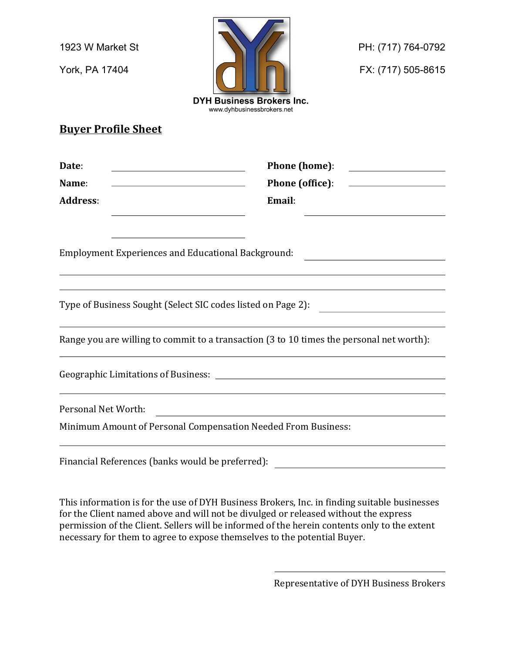

## **Buyer Profile Sheet**

| Date:<br><u> 1989 - Johann Barn, mars eta bainar eta baina eta baina eta baina eta baina eta baina eta baina eta baina e</u>                     | <b>Phone (home):</b><br><u> 1980 - Andrea Station (b. 1980)</u>                          |
|--------------------------------------------------------------------------------------------------------------------------------------------------|------------------------------------------------------------------------------------------|
| Name:<br><u> 1989 - Johann Barn, mars ann an t-Amhain Aonaich an t-Aonaich an t-Aonaich ann an t-Aonaich ann an t-Aonaich</u><br><b>Address:</b> | <b>Phone (office):</b><br>Email:                                                         |
|                                                                                                                                                  |                                                                                          |
|                                                                                                                                                  |                                                                                          |
|                                                                                                                                                  | Type of Business Sought (Select SIC codes listed on Page 2):                             |
|                                                                                                                                                  | Range you are willing to commit to a transaction (3 to 10 times the personal net worth): |
|                                                                                                                                                  |                                                                                          |
| Personal Net Worth:                                                                                                                              |                                                                                          |
| Minimum Amount of Personal Compensation Needed From Business:                                                                                    |                                                                                          |
|                                                                                                                                                  |                                                                                          |

This information is for the use of DYH Business Brokers, Inc. in finding suitable businesses for the Client named above and will not be divulged or released without the express permission of the Client. Sellers will be informed of the herein contents only to the extent necessary for them to agree to expose themselves to the potential Buyer.

Financial References (banks would be preferred):

Representative of DYH Business Brokers